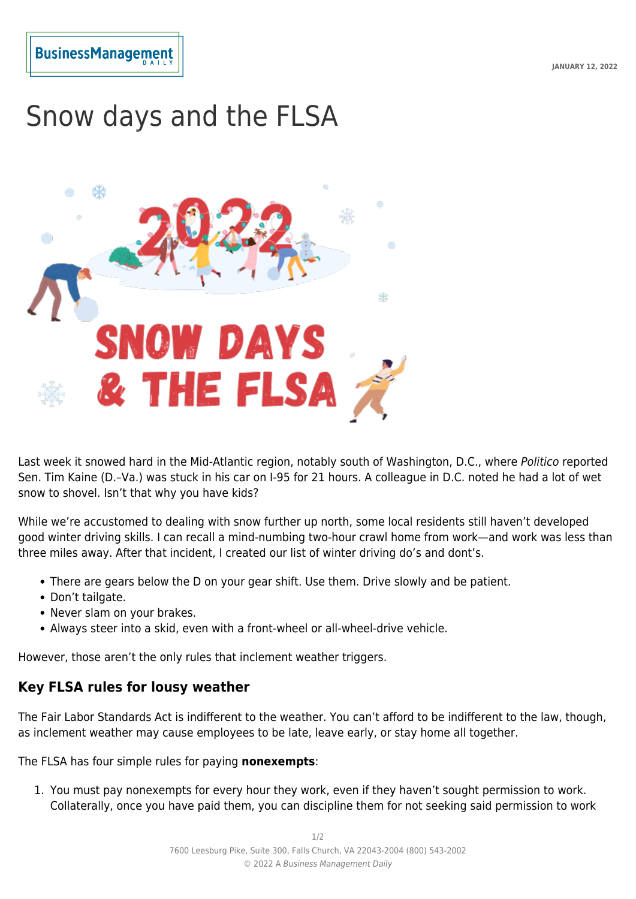## **BusinessManagemen**

## Snow days and the FLSA



Last week it snowed hard in the Mid-Atlantic region, notably south of Washington, D.C., where Politico reported Sen. Tim Kaine (D.–Va.) was stuck in his car on I-95 for 21 hours. A colleague in D.C. noted he had a lot of wet snow to shovel. Isn't that why you have kids?

While we're accustomed to dealing with snow further up north, some local residents still haven't developed good winter driving skills. I can recall a mind-numbing two-hour crawl home from work—and work was less than three miles away. After that incident, I created our list of winter driving do's and dont's.

- There are gears below the D on your gear shift. Use them. Drive slowly and be patient.
- Don't tailgate.
- Never slam on your brakes.
- Always steer into a skid, even with a front-wheel or all-wheel-drive vehicle.

However, those aren't the only rules that inclement weather triggers.

## **Key FLSA rules for lousy weather**

The Fair Labor Standards Act is indifferent to the weather. You can't afford to be indifferent to the law, though, as inclement weather may cause employees to be late, leave early, or stay home all together.

The FLSA has four simple rules for paying **nonexempts**:

1. You must pay nonexempts for every hour they work, even if they haven't sought permission to work. Collaterally, once you have paid them, you can discipline them for not seeking said permission to work